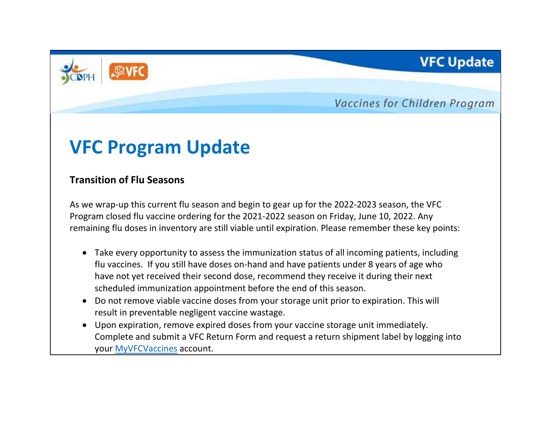

Vaccines for Children Program

**VFC Update** 

# **VFC Program Update**

### **Transition of Flu Seasons**

As we wrap-up this current flu season and begin to gear up for the 2022-2023 season, the VFC Program closed flu vaccine ordering for the 2021-2022 season on Friday, June 10, 2022. Any remaining flu doses in inventory are still viable until expiration. Please remember these key points:

- Take every opportunity to assess the immunization status of all incoming patients, including flu vaccines. If you still have doses on-hand and have patients under 8 years of age who have not yet received their second dose, recommend they receive it during their next scheduled immunization appointment before the end of this season.
- Do not remove viable vaccine doses from your storage unit prior to expiration. This will result in preventable negligent vaccine wastage.
- Upon expiration, remove expired doses from your vaccine storage unit immediately. Complete and submit a VFC Return Form and request a return shipment label by logging into your [MyVFCVaccines](https://eziz.org/myvfcvaccines) account.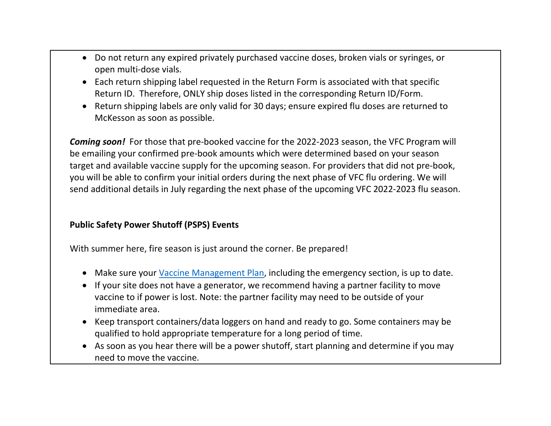- Do not return any expired privately purchased vaccine doses, broken vials or syringes, or open multi-dose vials.
- Each return shipping label requested in the Return Form is associated with that specific Return ID. Therefore, ONLY ship doses listed in the corresponding Return ID/Form.
- Return shipping labels are only valid for 30 days; ensure expired flu doses are returned to McKesson as soon as possible.

*Coming soon!* For those that pre-booked vaccine for the 2022-2023 season, the VFC Program will be emailing your confirmed pre-book amounts which were determined based on your season target and available vaccine supply for the upcoming season. For providers that did not pre-book, you will be able to confirm your initial orders during the next phase of VFC flu ordering. We will send additional details in July regarding the next phase of the upcoming VFC 2022-2023 flu season.

#### **Public Safety Power Shutoff (PSPS) Events**

With summer here, fire season is just around the corner. Be prepared!

- Make sure your [Vaccine Management Plan,](https://eziz.org/assets/docs/IMM-1122.pdf) including the emergency section, is up to date.
- If your site does not have a generator, we recommend having a partner facility to move vaccine to if power is lost. Note: the partner facility may need to be outside of your immediate area.
- Keep transport containers/data loggers on hand and ready to go. Some containers may be qualified to hold appropriate temperature for a long period of time.
- As soon as you hear there will be a power shutoff, start planning and determine if you may need to move the vaccine.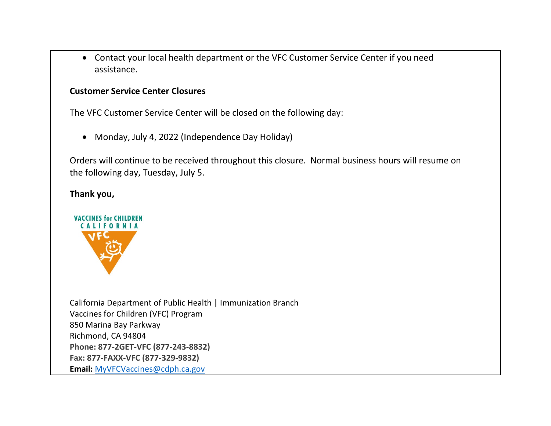• Contact your local health department or the VFC Customer Service Center if you need assistance.

#### **Customer Service Center Closures**

The VFC Customer Service Center will be closed on the following day:

• Monday, July 4, 2022 (Independence Day Holiday)

Orders will continue to be received throughout this closure. Normal business hours will resume on the following day, Tuesday, July 5.

#### **Thank you,**



California Department of Public Health | Immunization Branch Vaccines for Children (VFC) Program 850 Marina Bay Parkway Richmond, CA 94804 **Phone: 877-2GET-VFC (877-243-8832) Fax: 877-FAXX-VFC (877-329-9832) Email:** [MyVFCVaccines@cdph.ca.gov](mailto:MyVFCVaccines@cdph.ca.gov)